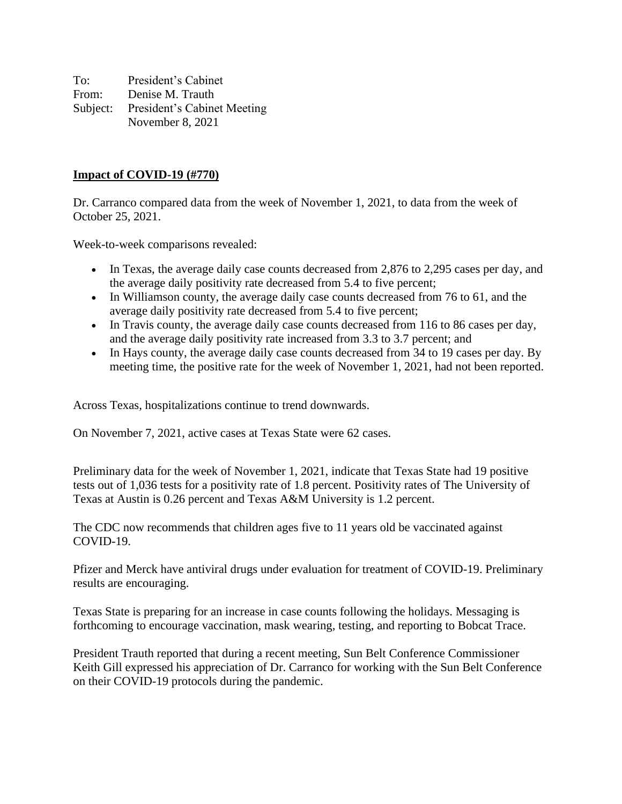To: President's Cabinet From: Denise M. Trauth Subject: President's Cabinet Meeting November 8, 2021

#### **Impact of COVID-19 (#770)**

Dr. Carranco compared data from the week of November 1, 2021, to data from the week of October 25, 2021.

Week-to-week comparisons revealed:

- In Texas, the average daily case counts decreased from 2,876 to 2,295 cases per day, and the average daily positivity rate decreased from 5.4 to five percent;
- In Williamson county, the average daily case counts decreased from 76 to 61, and the average daily positivity rate decreased from 5.4 to five percent;
- In Travis county, the average daily case counts decreased from 116 to 86 cases per day, and the average daily positivity rate increased from 3.3 to 3.7 percent; and
- In Hays county, the average daily case counts decreased from 34 to 19 cases per day. By meeting time, the positive rate for the week of November 1, 2021, had not been reported.

Across Texas, hospitalizations continue to trend downwards.

On November 7, 2021, active cases at Texas State were 62 cases.

Preliminary data for the week of November 1, 2021, indicate that Texas State had 19 positive tests out of 1,036 tests for a positivity rate of 1.8 percent. Positivity rates of The University of Texas at Austin is 0.26 percent and Texas A&M University is 1.2 percent.

The CDC now recommends that children ages five to 11 years old be vaccinated against COVID-19.

Pfizer and Merck have antiviral drugs under evaluation for treatment of COVID-19. Preliminary results are encouraging.

Texas State is preparing for an increase in case counts following the holidays. Messaging is forthcoming to encourage vaccination, mask wearing, testing, and reporting to Bobcat Trace.

President Trauth reported that during a recent meeting, Sun Belt Conference Commissioner Keith Gill expressed his appreciation of Dr. Carranco for working with the Sun Belt Conference on their COVID-19 protocols during the pandemic.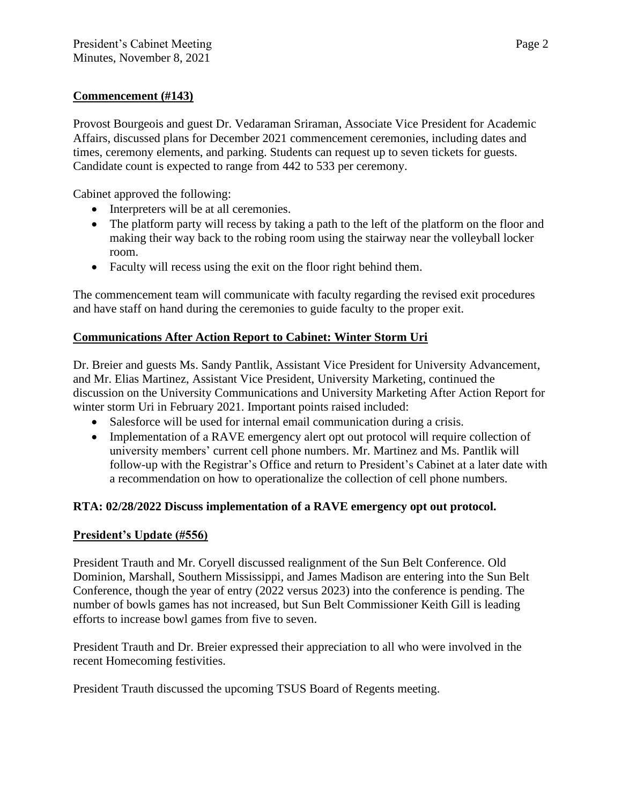# **Commencement (#143)**

Provost Bourgeois and guest Dr. Vedaraman Sriraman, Associate Vice President for Academic Affairs, discussed plans for December 2021 commencement ceremonies, including dates and times, ceremony elements, and parking. Students can request up to seven tickets for guests. Candidate count is expected to range from 442 to 533 per ceremony.

Cabinet approved the following:

- Interpreters will be at all ceremonies.
- The platform party will recess by taking a path to the left of the platform on the floor and making their way back to the robing room using the stairway near the volleyball locker room.
- Faculty will recess using the exit on the floor right behind them.

The commencement team will communicate with faculty regarding the revised exit procedures and have staff on hand during the ceremonies to guide faculty to the proper exit.

## **Communications After Action Report to Cabinet: Winter Storm Uri**

Dr. Breier and guests Ms. Sandy Pantlik, Assistant Vice President for University Advancement, and Mr. Elias Martinez, Assistant Vice President, University Marketing, continued the discussion on the University Communications and University Marketing After Action Report for winter storm Uri in February 2021. Important points raised included:

- Salesforce will be used for internal email communication during a crisis.
- Implementation of a RAVE emergency alert opt out protocol will require collection of university members' current cell phone numbers. Mr. Martinez and Ms. Pantlik will follow-up with the Registrar's Office and return to President's Cabinet at a later date with a recommendation on how to operationalize the collection of cell phone numbers.

# **RTA: 02/28/2022 Discuss implementation of a RAVE emergency opt out protocol.**

#### **President's Update (#556)**

President Trauth and Mr. Coryell discussed realignment of the Sun Belt Conference. Old Dominion, Marshall, Southern Mississippi, and James Madison are entering into the Sun Belt Conference, though the year of entry (2022 versus 2023) into the conference is pending. The number of bowls games has not increased, but Sun Belt Commissioner Keith Gill is leading efforts to increase bowl games from five to seven.

President Trauth and Dr. Breier expressed their appreciation to all who were involved in the recent Homecoming festivities.

President Trauth discussed the upcoming TSUS Board of Regents meeting.